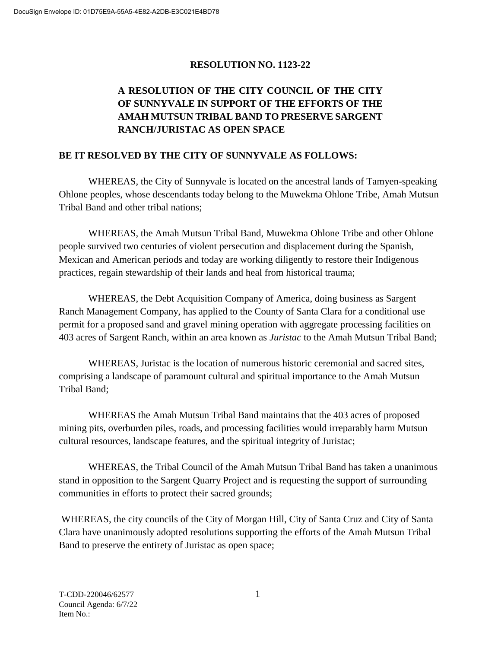## **RESOLUTION NO. 1123-22**

## **A RESOLUTION OF THE CITY COUNCIL OF THE CITY OF SUNNYVALE IN SUPPORT OF THE EFFORTS OF THE AMAH MUTSUN TRIBAL BAND TO PRESERVE SARGENT RANCH/JURISTAC AS OPEN SPACE**

## **BE IT RESOLVED BY THE CITY OF SUNNYVALE AS FOLLOWS:**

WHEREAS, the City of Sunnyvale is located on the ancestral lands of Tamyen-speaking Ohlone peoples, whose descendants today belong to the Muwekma Ohlone Tribe, Amah Mutsun Tribal Band and other tribal nations;

WHEREAS, the Amah Mutsun Tribal Band, Muwekma Ohlone Tribe and other Ohlone people survived two centuries of violent persecution and displacement during the Spanish, Mexican and American periods and today are working diligently to restore their Indigenous practices, regain stewardship of their lands and heal from historical trauma;

WHEREAS, the Debt Acquisition Company of America, doing business as Sargent Ranch Management Company, has applied to the County of Santa Clara for a conditional use permit for a proposed sand and gravel mining operation with aggregate processing facilities on 403 acres of Sargent Ranch, within an area known as *Juristac* to the Amah Mutsun Tribal Band;

WHEREAS, Juristac is the location of numerous historic ceremonial and sacred sites, comprising a landscape of paramount cultural and spiritual importance to the Amah Mutsun Tribal Band;

WHEREAS the Amah Mutsun Tribal Band maintains that the 403 acres of proposed mining pits, overburden piles, roads, and processing facilities would irreparably harm Mutsun cultural resources, landscape features, and the spiritual integrity of Juristac;

WHEREAS, the Tribal Council of the Amah Mutsun Tribal Band has taken a unanimous stand in opposition to the Sargent Quarry Project and is requesting the support of surrounding communities in efforts to protect their sacred grounds;

WHEREAS, the city councils of the City of Morgan Hill, City of Santa Cruz and City of Santa Clara have unanimously adopted resolutions supporting the efforts of the Amah Mutsun Tribal Band to preserve the entirety of Juristac as open space;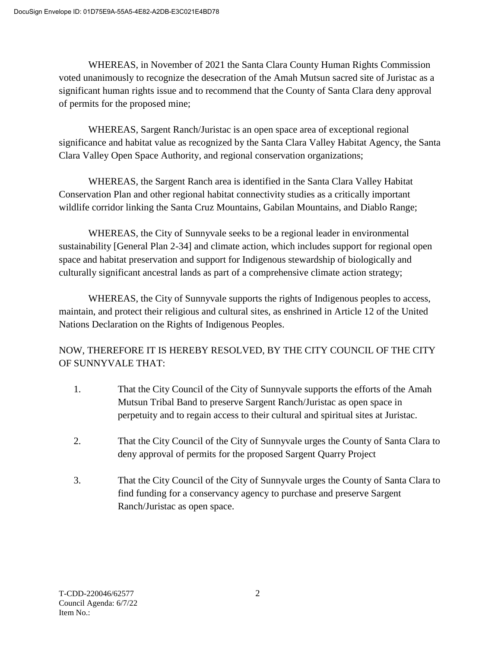WHEREAS, in November of 2021 the Santa Clara County Human Rights Commission voted unanimously to recognize the desecration of the Amah Mutsun sacred site of Juristac as a significant human rights issue and to recommend that the County of Santa Clara deny approval of permits for the proposed mine;

WHEREAS, Sargent Ranch/Juristac is an open space area of exceptional regional significance and habitat value as recognized by the Santa Clara Valley Habitat Agency, the Santa Clara Valley Open Space Authority, and regional conservation organizations;

WHEREAS, the Sargent Ranch area is identified in the Santa Clara Valley Habitat Conservation Plan and other regional habitat connectivity studies as a critically important wildlife corridor linking the Santa Cruz Mountains, Gabilan Mountains, and Diablo Range;

WHEREAS, the City of Sunnyvale seeks to be a regional leader in environmental sustainability [General Plan 2-34] and climate action, which includes support for regional open space and habitat preservation and support for Indigenous stewardship of biologically and culturally significant ancestral lands as part of a comprehensive climate action strategy;

WHEREAS, the City of Sunnyvale supports the rights of Indigenous peoples to access, maintain, and protect their religious and cultural sites, as enshrined in Article 12 of the United Nations Declaration on the Rights of Indigenous Peoples.

NOW, THEREFORE IT IS HEREBY RESOLVED, BY THE CITY COUNCIL OF THE CITY OF SUNNYVALE THAT:

- 1. That the City Council of the City of Sunnyvale supports the efforts of the Amah Mutsun Tribal Band to preserve Sargent Ranch/Juristac as open space in perpetuity and to regain access to their cultural and spiritual sites at Juristac.
- 2. That the City Council of the City of Sunnyvale urges the County of Santa Clara to deny approval of permits for the proposed Sargent Quarry Project
- 3. That the City Council of the City of Sunnyvale urges the County of Santa Clara to find funding for a conservancy agency to purchase and preserve Sargent Ranch/Juristac as open space.